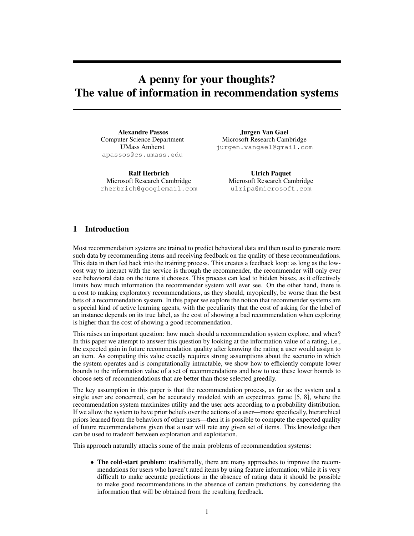# A penny for your thoughts? The value of information in recommendation systems

Alexandre Passos Computer Science Department UMass Amherst apassos@cs.umass.edu

Ralf Herbrich Microsoft Research Cambridge rherbrich@googlemail.com

Jurgen Van Gael Microsoft Research Cambridge jurgen.vangael@gmail.com

> Ulrich Paquet Microsoft Research Cambridge ulripa@microsoft.com

# 1 Introduction

Most recommendation systems are trained to predict behavioral data and then used to generate more such data by recommending items and receiving feedback on the quality of these recommendations. This data in then fed back into the training process. This creates a feedback loop: as long as the lowcost way to interact with the service is through the recommender, the recommender will only ever see behavioral data on the items it chooses. This process can lead to hidden biases, as it effectively limits how much information the recommender system will ever see. On the other hand, there is a cost to making exploratory recommendations, as they should, myopically, be worse than the best bets of a recommendation system. In this paper we explore the notion that recommender systems are a special kind of active learning agents, with the peculiarity that the cost of asking for the label of an instance depends on its true label, as the cost of showing a bad recommendation when exploring is higher than the cost of showing a good recommendation.

This raises an important question: how much should a recommendation system explore, and when? In this paper we attempt to answer this question by looking at the information value of a rating, i.e., the expected gain in future recommendation quality after knowing the rating a user would assign to an item. As computing this value exactly requires strong assumptions about the scenario in which the system operates and is computationally intractable, we show how to efficiently compute lower bounds to the information value of a set of recommendations and how to use these lower bounds to choose sets of recommendations that are better than those selected greedily.

The key assumption in this paper is that the recommendation process, as far as the system and a single user are concerned, can be accurately modeled with an expectmax game [5, 8], where the recommendation system maximizes utility and the user acts according to a probability distribution. If we allow the system to have prior beliefs over the actions of a user—more specifically, hierarchical priors learned from the behaviors of other users—then it is possible to compute the expected quality of future recommendations given that a user will rate any given set of items. This knowledge then can be used to tradeoff between exploration and exploitation.

This approach naturally attacks some of the main problems of recommendation systems:

• The cold-start problem: traditionally, there are many approaches to improve the recommendations for users who haven't rated items by using feature information; while it is very difficult to make accurate predictions in the absence of rating data it should be possible to make good recommendations in the absence of certain predictions, by considering the information that will be obtained from the resulting feedback.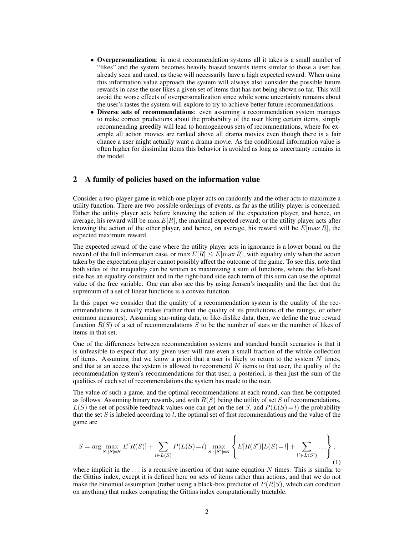- Overpersonalization: in most recommendation systems all it takes is a small number of "likes" and the system becomes heavily biased towards items similar to those a user has already seen and rated, as these will necessarily have a high expected reward. When using this information value approach the system will always also consider the possible future rewards in case the user likes a given set of items that has not being shown so far. This will avoid the worse effects of overpersonalization since while some uncertainty remains about the user's tastes the system will explore to try to achieve better future recommendations.
- Diverse sets of recommendations: even assuming a recommendation system manages to make correct predictions about the probability of the user liking certain items, simply recommending greedily will lead to homogeneous sets of recommentations, where for example all action movies are ranked above all drama movies even though there is a fair chance a user might actually want a drama movie. As the conditional information value is often higher for dissimilar items this behavior is avoided as long as uncertainty remains in the model.

## 2 A family of policies based on the information value

Consider a two-player game in which one player acts on randomly and the other acts to maximize a utility function. There are two possible orderings of events, as far as the utility player is concerned. Either the utility player acts before knowing the action of the expectation player, and hence, on average, his reward will be max  $E[R]$ , the maximal expected reward; or the utility player acts after knowing the action of the other player, and hence, on average, his reward will be  $E[\max R]$ , the expected maximum reward.

The expected reward of the case where the utility player acts in ignorance is a lower bound on the reward of the full information case, or  $\max E[R] \leq E[\max R]$ , with equality only when the action taken by the expectation player cannot possibly affect the outcome of the game. To see this, note that both sides of the inequality can be written as maximizing a sum of functions, where the left-hand side has an equality constraint and in the right-hand side each term of this sum can use the optimal value of the free variable. One can also see this by using Jensen's inequality and the fact that the supremum of a set of linear functions is a convex function.

In this paper we consider that the quality of a recommendation system is the quality of the recommendations it actually makes (rather than the quality of its predictions of the ratings, or other common measures). Assuming star-rating data, or like-dislike data, then, we define the true reward function  $R(S)$  of a set of recommendations S to be the number of stars or the number of likes of items in that set.

One of the differences between recommendation systems and standard bandit scenarios is that it is unfeasible to expect that any given user will rate even a small fraction of the whole collection of items. Assuming that we know a priori that a user is likely to return to the system  $N$  times, and that at an access the system is allowed to recommend  $K$  items to that user, the quality of the recommendation system's recommendations for that user, a posteriori, is then just the sum of the qualities of each set of recommendations the system has made to the user.

The value of such a game, and the optimal recommendations at each round, can then be computed as follows. Assuming binary rewards, and with  $R(S)$  being the utility of set S of recommendations,  $L(S)$  the set of possible feedback values one can get on the set S, and  $P(L(S) = l)$  the probability that the set S is labeled according to  $l$ , the optimal set of first recommendations and the value of the game are

$$
S = \arg \max_{S:|S|=K} E[R(S)] + \sum_{l \in L(S)} P(L(S) = l) \max_{S':|S'|=K} \left\{ E[R(S')|L(S) = l] + \sum_{l' \in L(S')} \dots \right\},\tag{1}
$$

where implicit in the  $\dots$  is a recursive insertion of that same equation N times. This is similar to the Gittins index, except it is defined here on sets of items rather than actions, and that we do not make the binomial assumption (rather using a black-box predictor of  $P(R|S)$ , which can condition on anything) that makes computing the Gittins index computationally tractable.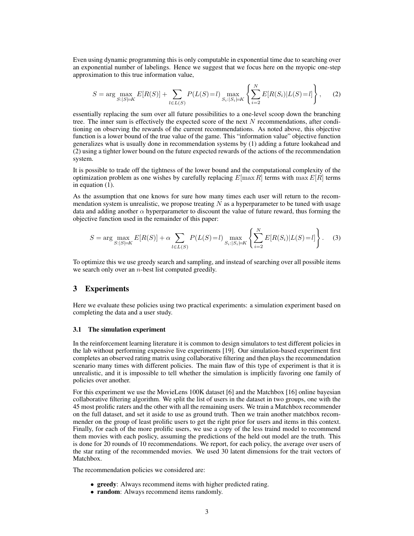Even using dynamic programming this is only computable in exponential time due to searching over an exponential number of labelings. Hence we suggest that we focus here on the myopic one-step approximation to this true information value,

$$
S = \arg \max_{S:|S|=K} E[R(S)] + \sum_{l \in L(S)} P(L(S) = l) \max_{S_i:|S_i|=K} \left\{ \sum_{i=2}^N E[R(S_i)|L(S) = l] \right\}, \tag{2}
$$

essentially replacing the sum over all future possibilities to a one-level scoop down the branching tree. The inner sum is effectively the expected score of the next  $N$  recommendations, after conditioning on observing the rewards of the current recommendations. As noted above, this objective function is a lower bound of the true value of the game. This "information value" objective function generalizes what is usually done in recommendation systems by (1) adding a future lookahead and (2) using a tighter lower bound on the future expected rewards of the actions of the recommendation system.

It is possible to trade off the tightness of the lower bound and the computational complexity of the optimization problem as one wishes by carefully replacing  $E$ [max R] terms with max  $E[R]$  terms in equation (1).

As the assumption that one knows for sure how many times each user will return to the recommendation system is unrealistic, we propose treating  $N$  as a hyperparameter to be tuned with usage data and adding another  $\alpha$  hyperparameter to discount the value of future reward, thus forming the objective function used in the remainder of this paper:

$$
S = \arg \max_{S:|S|=K} E[R(S)] + \alpha \sum_{l \in L(S)} P(L(S) = l) \max_{S_i:|S_i|=K} \left\{ \sum_{i=2}^N E[R(S_i)|L(S) = l] \right\}.
$$
 (3)

To optimize this we use greedy search and sampling, and instead of searching over all possible items we search only over an  $n$ -best list computed greedily.

## 3 Experiments

Here we evaluate these policies using two practical experiments: a simulation experiment based on completing the data and a user study.

#### 3.1 The simulation experiment

In the reinforcement learning literature it is common to design simulators to test different policies in the lab without performing expensive live experiments [19]. Our simulation-based experiment first completes an observed rating matrix using collaborative filtering and then plays the recommendation scenario many times with different policies. The main flaw of this type of experiment is that it is unrealistic, and it is impossible to tell whether the simulation is implicitly favoring one family of policies over another.

For this experiment we use the MovieLens 100K dataset [6] and the Matchbox [16] online bayesian collaborative filtering algorithm. We split the list of users in the dataset in two groups, one with the 45 most prolific raters and the other with all the remaining users. We train a Matchbox recommender on the full dataset, and set it aside to use as ground truth. Then we train another matchbox recommender on the group of least prolific users to get the right prior for users and items in this context. Finally, for each of the more prolific users, we use a copy of the less traind model to recommend them movies with each poslicy, assuming the predictions of the held out model are the truth. This is done for 20 rounds of 10 recommendations. We report, for each policy, the average over users of the star rating of the recommended movies. We used 30 latent dimensions for the trait vectors of Matchbox.

The recommendation policies we considered are:

- greedy: Always recommend items with higher predicted rating.
- random: Always recommend items randomly.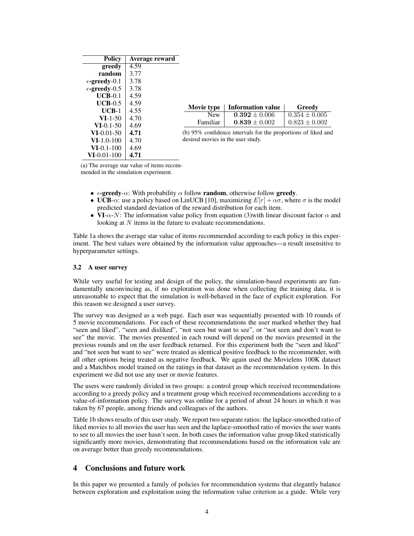| <b>Policy</b>                    | Average reward |                                                               |                          |                   |
|----------------------------------|----------------|---------------------------------------------------------------|--------------------------|-------------------|
| greedy                           | 4.59           |                                                               |                          |                   |
| random                           | 3.77           |                                                               |                          |                   |
| $\epsilon$ -greedy-0.1           | 3.78           |                                                               |                          |                   |
| $\epsilon$ -greedy-0.5           | 3.78           |                                                               |                          |                   |
| $UCB-0.1$                        | 4.59           |                                                               |                          |                   |
| $UCB-0.5$                        | 4.59           |                                                               |                          |                   |
| $UCB-1$                          | 4.55           | Movie type                                                    | <b>Information value</b> | Greedy            |
| $VI-1-50$                        | 4.70           | <b>New</b>                                                    | $0.392 \pm 0.006$        | $0.354 \pm 0.005$ |
| $VI-0.1-50$                      | 4.69           | Familiar                                                      | $0.839 \pm 0.002$        | $0.823 \pm 0.002$ |
| $VI-0.01-50$                     | 4.71           | (b) 95% confidence intervals for the proportions of liked and |                          |                   |
| $VI-1.0-100$                     | 4.70           | desired movies in the user study.                             |                          |                   |
| $VI-0.1-100$                     | 4.69           |                                                               |                          |                   |
| $\bf{VI}\text{-}0.01\text{-}100$ | 4.71           |                                                               |                          |                   |

(a) The average star value of items recommended in the simulation experiment.

- $\epsilon$ -greedy- $\alpha$ : With probability  $\alpha$  follow **random**, otherwise follow **greedy**.
- UCB- $\alpha$ : use a policy based on LinUCB [10], maximizing  $E[r] + \alpha \sigma$ , where  $\sigma$  is the model predicted standard deviation of the reward distribution for each item.
- VI- $\alpha$ -N: The information value policy from equation (3)with linear discount factor  $\alpha$  and looking at N items in the future to evaluate recommendations.

Table 1a shows the average star value of items recommended according to each policy in this experiment. The best values were obtained by the information value approaches—a result insensitive to hyperparameter settings.

## 3.2 A user survey

While very useful for testing and design of the policy, the simulation-based experiments are fundamentally unconvincing as, if no exploration was done when collecting the training data, it is unreasonable to expect that the simulation is well-behaved in the face of explicit exploration. For this reason we designed a user survey.

The survey was designed as a web page. Each user was sequentially presented with 10 rounds of 5 movie recommendations. For each of these recommendations the user marked whether they had "seen and liked", "seen and disliked", "not seen but want to see", or "not seen and don't want to see" the movie. The movies presented in each round will depend on the movies presented in the previous rounds and on the user feedback returned. For this experiment both the "seen and liked" and "not seen but want to see" were treated as identical positive feedback to the recommender, with all other options being treated as negative feedback. We again used the Movielens 100K dataset and a Matchbox model trained on the ratings in that dataset as the recommendation system. In this experiment we did not use any user or movie features.

The users were randomly divided in two groups: a control group which received recommendations according to a greedy policy and a treatment group which received recommendations according to a value-of-information policy. The survey was online for a period of about 24 hours in which it was taken by 67 people, among friends and colleagues of the authors.

Table 1b shows results of this user study. We report two separate ratios: the laplace-smoothed ratio of liked movies to all movies the user has seen and the laplace-smoothed ratio of movies the user wants to see to all movies the user hasn't seen. In both cases the information value group liked statistically significantly more movies, demonstrating that recommendations based on the information vale are on average better than greedy recommendations.

## 4 Conclusions and future work

In this paper we presented a family of policies for recommendation systems that elegantly balance between exploration and exploitation using the information value criterion as a guide. While very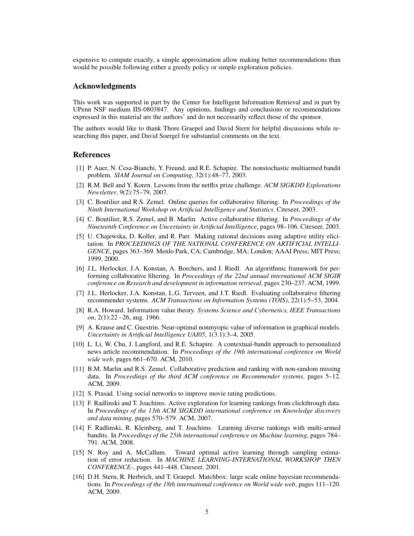expensive to compute exactly, a simple approximation allow making better recommendations than would be possible following either a greedy policy or simple exploration policies.

## Acknowledgments

This work was supported in part by the Center for Intelligent Information Retrieval and in part by UPenn NSF medium IIS-0803847. Any opinions, findings and conclusions or recommendations expressed in this material are the authors' and do not necessarily reflect those of the sponsor.

The authors would like to thank Thore Graepel and David Stern for helpful discussions while researching this paper, and David Soergel for substantial comments on the text.

### References

- [1] P. Auer, N. Cesa-Bianchi, Y. Freund, and R.E. Schapire. The nonstochastic multiarmed bandit problem. *SIAM Journal on Computing*, 32(1):48–77, 2003.
- [2] R.M. Bell and Y. Koren. Lessons from the netflix prize challenge. *ACM SIGKDD Explorations Newsletter*, 9(2):75–79, 2007.
- [3] C. Boutilier and R.S. Zemel. Online queries for collaborative filtering. In *Proceedings of the Ninth International Workshop on Artificial Intelligence and Statistics*. Citeseer, 2003.
- [4] C. Boutilier, R.S. Zemel, and B. Marlin. Active collaborative filtering. In *Proceedings of the Nineteenth Conference on Uncertainty in Artificial Intelligence*, pages 98–106. Citeseer, 2003.
- [5] U. Chajewska, D. Koller, and R. Parr. Making rational decisions using adaptive utility elicitation. In *PROCEEDINGS OF THE NATIONAL CONFERENCE ON ARTIFICIAL INTELLI-GENCE*, pages 363–369. Menlo Park, CA; Cambridge, MA; London; AAAI Press; MIT Press; 1999, 2000.
- [6] J.L. Herlocker, J.A. Konstan, A. Borchers, and J. Riedl. An algorithmic framework for performing collaborative filtering. In *Proceedings of the 22nd annual international ACM SIGIR conference on Research and development in information retrieval*, pages 230–237. ACM, 1999.
- [7] J.L. Herlocker, J.A. Konstan, L.G. Terveen, and J.T. Riedl. Evaluating collaborative filtering recommender systems. *ACM Transactions on Information Systems (TOIS)*, 22(1):5–53, 2004.
- [8] R.A. Howard. Information value theory. *Systems Science and Cybernetics, IEEE Transactions on*, 2(1):22 –26, aug. 1966.
- [9] A. Krause and C. Guestrin. Near-optimal nonmyopic value of information in graphical models. *Uncertainty in Artificial Intelligence UAI05*, 1(3.1):3–4, 2005.
- [10] L. Li, W. Chu, J. Langford, and R.E. Schapire. A contextual-bandit approach to personalized news article recommendation. In *Proceedings of the 19th international conference on World wide web*, pages 661–670. ACM, 2010.
- [11] B.M. Marlin and R.S. Zemel. Collaborative prediction and ranking with non-random missing data. In *Proceedings of the third ACM conference on Recommender systems*, pages 5–12. ACM, 2009.
- [12] S. Prasad. Using social networks to improve movie rating predictions.
- [13] F. Radlinski and T. Joachims. Active exploration for learning rankings from clickthrough data. In *Proceedings of the 13th ACM SIGKDD international conference on Knowledge discovery and data mining*, pages 570–579. ACM, 2007.
- [14] F. Radlinski, R. Kleinberg, and T. Joachims. Learning diverse rankings with multi-armed bandits. In *Proceedings of the 25th international conference on Machine learning*, pages 784– 791. ACM, 2008.
- [15] N. Roy and A. McCallum. Toward optimal active learning through sampling estimation of error reduction. In *MACHINE LEARNING-INTERNATIONAL WORKSHOP THEN CONFERENCE-*, pages 441–448. Citeseer, 2001.
- [16] D.H. Stern, R. Herbrich, and T. Graepel. Matchbox: large scale online bayesian recommendations. In *Proceedings of the 18th international conference on World wide web*, pages 111–120. ACM, 2009.